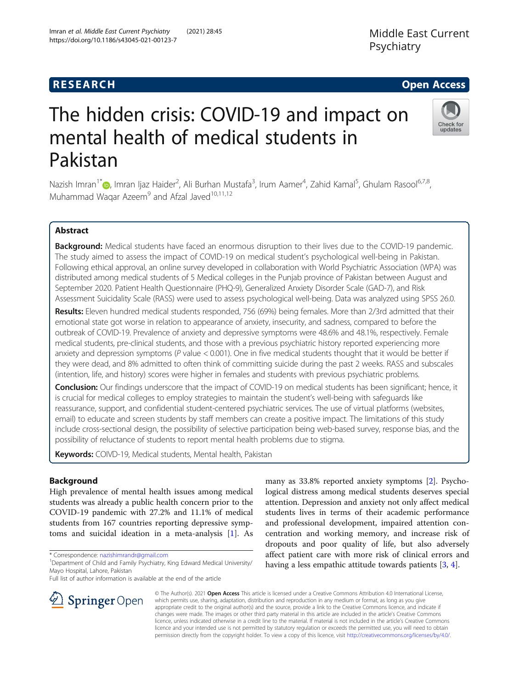# The hidden crisis: COVID-19 and impact on mental health of medical students in Pakistan

Nazish Imran<sup>1\*</sup> (@, Imran Ijaz Haider<sup>2</sup>, Ali Burhan Mustafa<sup>3</sup>, Irum Aamer<sup>4</sup>, Zahid Kamal<sup>5</sup>, Ghulam Rasool<sup>6,7,8</sup>, Muhammad Waqar Azeem $9$  and Afzal Javed<sup>10,11,12</sup>

# Abstract

Background: Medical students have faced an enormous disruption to their lives due to the COVID-19 pandemic. The study aimed to assess the impact of COVID-19 on medical student's psychological well-being in Pakistan. Following ethical approval, an online survey developed in collaboration with World Psychiatric Association (WPA) was distributed among medical students of 5 Medical colleges in the Punjab province of Pakistan between August and September 2020. Patient Health Questionnaire (PHQ-9), Generalized Anxiety Disorder Scale (GAD-7), and Risk Assessment Suicidality Scale (RASS) were used to assess psychological well-being. Data was analyzed using SPSS 26.0.

Results: Eleven hundred medical students responded, 756 (69%) being females. More than 2/3rd admitted that their emotional state got worse in relation to appearance of anxiety, insecurity, and sadness, compared to before the outbreak of COVID-19. Prevalence of anxiety and depressive symptoms were 48.6% and 48.1%, respectively. Female medical students, pre-clinical students, and those with a previous psychiatric history reported experiencing more anxiety and depression symptoms ( $P$  value < 0.001). One in five medical students thought that it would be better if they were dead, and 8% admitted to often think of committing suicide during the past 2 weeks. RASS and subscales (intention, life, and history) scores were higher in females and students with previous psychiatric problems.

**Conclusion:** Our findings underscore that the impact of COVID-19 on medical students has been significant; hence, it is crucial for medical colleges to employ strategies to maintain the student's well-being with safeguards like reassurance, support, and confidential student-centered psychiatric services. The use of virtual platforms (websites, email) to educate and screen students by staff members can create a positive impact. The limitations of this study include cross-sectional design, the possibility of selective participation being web-based survey, response bias, and the possibility of reluctance of students to report mental health problems due to stigma.

Keywords: COIVD-19, Medical students, Mental health, Pakistan

# Background

High prevalence of mental health issues among medical students was already a public health concern prior to the COVID-19 pandemic with 27.2% and 11.1% of medical students from 167 countries reporting depressive symptoms and suicidal ideation in a meta-analysis [\[1](#page-7-0)]. As

\* Correspondence: [nazishimrandr@gmail.com](mailto:nazishimrandr@gmail.com) <sup>1</sup>

l SpringerOpen

Full list of author information is available at the end of the article

© The Author(s). 2021 Open Access This article is licensed under a Creative Commons Attribution 4.0 International License, which permits use, sharing, adaptation, distribution and reproduction in any medium or format, as long as you give appropriate credit to the original author(s) and the source, provide a link to the Creative Commons licence, and indicate if changes were made. The images or other third party material in this article are included in the article's Creative Commons licence, unless indicated otherwise in a credit line to the material. If material is not included in the article's Creative Commons licence and your intended use is not permitted by statutory regulation or exceeds the permitted use, you will need to obtain permission directly from the copyright holder. To view a copy of this licence, visit <http://creativecommons.org/licenses/by/4.0/>.

many as 33.8% reported anxiety symptoms [\[2](#page-7-0)]. Psychological distress among medical students deserves special attention. Depression and anxiety not only affect medical students lives in terms of their academic performance and professional development, impaired attention concentration and working memory, and increase risk of dropouts and poor quality of life, but also adversely affect patient care with more risk of clinical errors and having a less empathic attitude towards patients [[3,](#page-7-0) [4\]](#page-7-0).





<sup>&</sup>lt;sup>1</sup> Department of Child and Family Psychiatry, King Edward Medical University/ Mayo Hospital, Lahore, Pakistan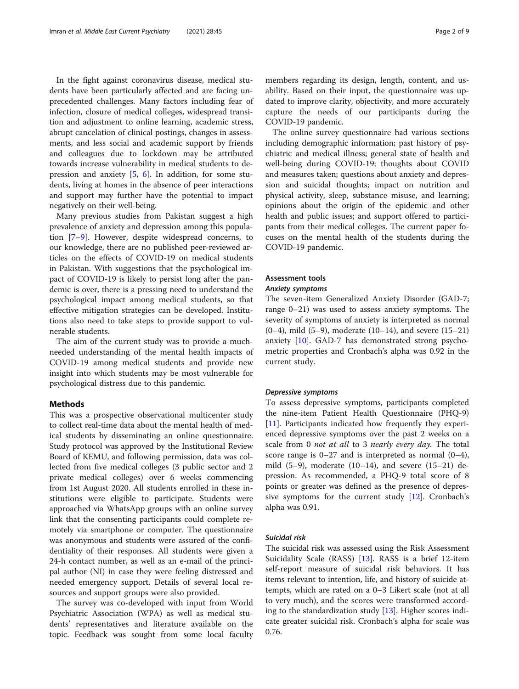In the fight against coronavirus disease, medical students have been particularly affected and are facing unprecedented challenges. Many factors including fear of infection, closure of medical colleges, widespread transition and adjustment to online learning, academic stress, abrupt cancelation of clinical postings, changes in assessments, and less social and academic support by friends and colleagues due to lockdown may be attributed towards increase vulnerability in medical students to depression and anxiety [[5,](#page-7-0) [6\]](#page-7-0). In addition, for some students, living at homes in the absence of peer interactions and support may further have the potential to impact negatively on their well-being.

Many previous studies from Pakistan suggest a high prevalence of anxiety and depression among this population [[7](#page-7-0)–[9](#page-7-0)]. However, despite widespread concerns, to our knowledge, there are no published peer-reviewed articles on the effects of COVID-19 on medical students in Pakistan. With suggestions that the psychological impact of COVID-19 is likely to persist long after the pandemic is over, there is a pressing need to understand the psychological impact among medical students, so that effective mitigation strategies can be developed. Institutions also need to take steps to provide support to vulnerable students.

The aim of the current study was to provide a muchneeded understanding of the mental health impacts of COVID-19 among medical students and provide new insight into which students may be most vulnerable for psychological distress due to this pandemic.

# Methods

This was a prospective observational multicenter study to collect real-time data about the mental health of medical students by disseminating an online questionnaire. Study protocol was approved by the Institutional Review Board of KEMU, and following permission, data was collected from five medical colleges (3 public sector and 2 private medical colleges) over 6 weeks commencing from 1st August 2020. All students enrolled in these institutions were eligible to participate. Students were approached via WhatsApp groups with an online survey link that the consenting participants could complete remotely via smartphone or computer. The questionnaire was anonymous and students were assured of the confidentiality of their responses. All students were given a 24-h contact number, as well as an e-mail of the principal author (NI) in case they were feeling distressed and needed emergency support. Details of several local resources and support groups were also provided.

The survey was co-developed with input from World Psychiatric Association (WPA) as well as medical students' representatives and literature available on the topic. Feedback was sought from some local faculty members regarding its design, length, content, and usability. Based on their input, the questionnaire was updated to improve clarity, objectivity, and more accurately capture the needs of our participants during the COVID-19 pandemic.

The online survey questionnaire had various sections including demographic information; past history of psychiatric and medical illness; general state of health and well-being during COVID-19; thoughts about COVID and measures taken; questions about anxiety and depression and suicidal thoughts; impact on nutrition and physical activity, sleep, substance misuse, and learning; opinions about the origin of the epidemic and other health and public issues; and support offered to participants from their medical colleges. The current paper focuses on the mental health of the students during the COVID-19 pandemic.

# Assessment tools

# Anxiety symptoms

The seven-item Generalized Anxiety Disorder (GAD-7; range 0–21) was used to assess anxiety symptoms. The severity of symptoms of anxiety is interpreted as normal (0–4), mild  $(5-9)$ , moderate  $(10-14)$ , and severe  $(15-21)$ anxiety [[10\]](#page-7-0). GAD-7 has demonstrated strong psychometric properties and Cronbach's alpha was 0.92 in the current study.

#### Depressive symptoms

To assess depressive symptoms, participants completed the nine-item Patient Health Questionnaire (PHQ-9) [[11\]](#page-7-0). Participants indicated how frequently they experienced depressive symptoms over the past 2 weeks on a scale from 0 *not at all* to 3 *nearly every day*. The total score range is 0–27 and is interpreted as normal (0–4), mild  $(5-9)$ , moderate  $(10-14)$ , and severe  $(15-21)$  depression. As recommended, a PHQ-9 total score of 8 points or greater was defined as the presence of depressive symptoms for the current study [\[12](#page-7-0)]. Cronbach's alpha was 0.91.

# Suicidal risk

The suicidal risk was assessed using the Risk Assessment Suicidality Scale (RASS) [[13\]](#page-7-0). RASS is a brief 12-item self-report measure of suicidal risk behaviors. It has items relevant to intention, life, and history of suicide attempts, which are rated on a 0–3 Likert scale (not at all to very much), and the scores were transformed according to the standardization study [[13](#page-7-0)]. Higher scores indicate greater suicidal risk. Cronbach's alpha for scale was 0.76.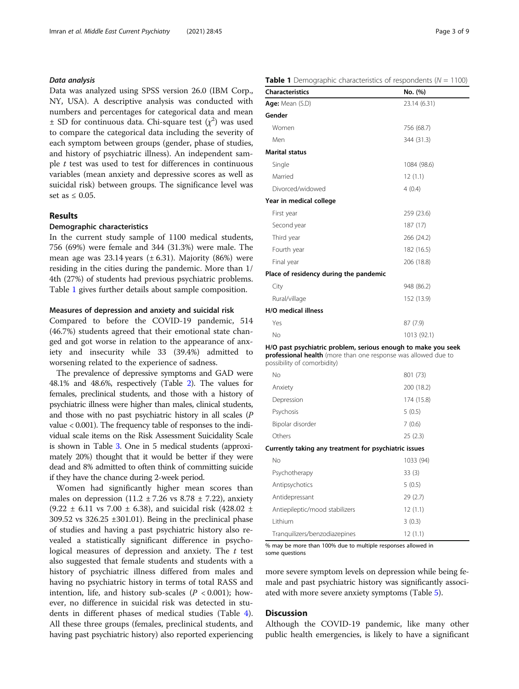### Data analysis

Data was analyzed using SPSS version 26.0 (IBM Corp., NY, USA). A descriptive analysis was conducted with numbers and percentages for categorical data and mean  $\pm$  SD for continuous data. Chi-square test  $(\chi^2)$  was used to compare the categorical data including the severity of each symptom between groups (gender, phase of studies, and history of psychiatric illness). An independent sample  $t$  test was used to test for differences in continuous variables (mean anxiety and depressive scores as well as suicidal risk) between groups. The significance level was set as  $\leq 0.05$ .

# Results

#### Demographic characteristics

In the current study sample of 1100 medical students, 756 (69%) were female and 344 (31.3%) were male. The mean age was  $23.14$  years ( $\pm$  6.31). Majority (86%) were residing in the cities during the pandemic. More than 1/ 4th (27%) of students had previous psychiatric problems. Table 1 gives further details about sample composition.

### Measures of depression and anxiety and suicidal risk

Compared to before the COVID-19 pandemic, 514 (46.7%) students agreed that their emotional state changed and got worse in relation to the appearance of anxiety and insecurity while 33 (39.4%) admitted to worsening related to the experience of sadness.

The prevalence of depressive symptoms and GAD were 48.1% and 48.6%, respectively (Table [2](#page-3-0)). The values for females, preclinical students, and those with a history of psychiatric illness were higher than males, clinical students, and those with no past psychiatric history in all scales (P value < 0.001). The frequency table of responses to the individual scale items on the Risk Assessment Suicidality Scale is shown in Table [3.](#page-3-0) One in 5 medical students (approximately 20%) thought that it would be better if they were dead and 8% admitted to often think of committing suicide if they have the chance during 2-week period.

Women had significantly higher mean scores than males on depression  $(11.2 \pm 7.26 \text{ vs } 8.78 \pm 7.22)$ , anxiety  $(9.22 \pm 6.11 \text{ vs } 7.00 \pm 6.38)$ , and suicidal risk  $(428.02 \pm 1.01)$ 309.52 vs 326.25 ±301.01). Being in the preclinical phase of studies and having a past psychiatric history also revealed a statistically significant difference in psychological measures of depression and anxiety. The  $t$  test also suggested that female students and students with a history of psychiatric illness differed from males and having no psychiatric history in terms of total RASS and intention, life, and history sub-scales ( $P < 0.001$ ); however, no difference in suicidal risk was detected in students in different phases of medical studies (Table [4](#page-4-0)). All these three groups (females, preclinical students, and having past psychiatric history) also reported experiencing

# **Table 1** Demographic characteristics of respondents ( $N = 1100$ )

| <b>Characteristics</b>                 | No. (%)      |
|----------------------------------------|--------------|
| Age: Mean (S.D)                        | 23.14 (6.31) |
| Gender                                 |              |
| Women                                  | 756 (68.7)   |
| Men                                    | 344 (31.3)   |
| <b>Marital status</b>                  |              |
| Single                                 | 1084 (98.6)  |
| Married                                | 12(1.1)      |
| Divorced/widowed                       | 4(0.4)       |
| Year in medical college                |              |
| First year                             | 259 (23.6)   |
| Second year                            | 187 (17)     |
| Third year                             | 266 (24.2)   |
| Fourth year                            | 182 (16.5)   |
| Final year                             | 206 (18.8)   |
| Place of residency during the pandemic |              |
| City                                   | 948 (86.2)   |
| Rural/village                          | 152 (13.9)   |
| <b>H/O</b> medical illness             |              |
| Yes                                    | 87(7.9)      |
| No                                     | 1013 (92.1)  |

H/O past psychiatric problem, serious enough to make you seek professional health (more than one response was allowed due to possibility of comorbidity)

| No               | 801 (73)   |
|------------------|------------|
| Anxiety          | 200 (18.2) |
| Depression       | 174 (15.8) |
| Psychosis        | 5(0.5)     |
| Bipolar disorder | 7(0.6)     |
| Others           | 25(2.3)    |

Currently taking any treatment for psychiatric issues

| Nο                             | 1033 (94) |
|--------------------------------|-----------|
| Psychotherapy                  | 33(3)     |
| Antipsychotics                 | 5(0.5)    |
| Antidepressant                 | 29(2.7)   |
| Antiepileptic/mood stabilizers | 12(1.1)   |
| I ithium                       | 3(0.3)    |
| Tranquilizers/benzodiazepines  | 12(1.1)   |

% may be more than 100% due to multiple responses allowed in some questions

more severe symptom levels on depression while being female and past psychiatric history was significantly associated with more severe anxiety symptoms (Table [5](#page-5-0)).

# **Discussion**

Although the COVID-19 pandemic, like many other public health emergencies, is likely to have a significant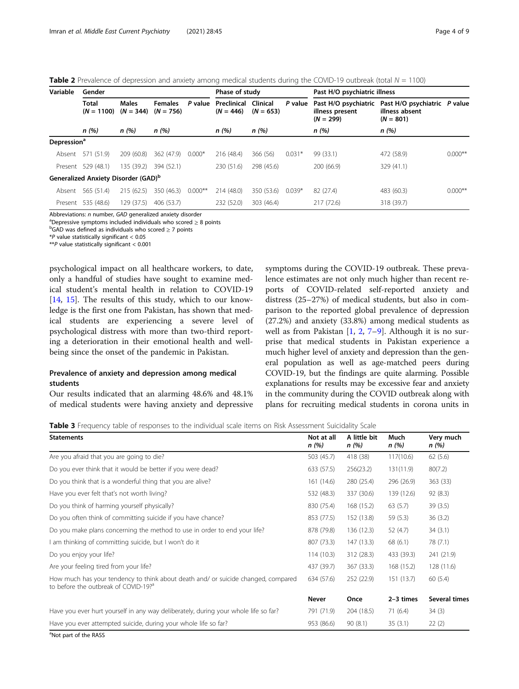<span id="page-3-0"></span>**Table 2** Prevalence of depression and anxiety among medical students during the COVID-19 outbreak (total  $N = 1100$ )

| Variable                      | Gender                                          |                             |                               |            | Phase of study             |                                |          | Past H/O psychiatric illness                           |                                                               |           |
|-------------------------------|-------------------------------------------------|-----------------------------|-------------------------------|------------|----------------------------|--------------------------------|----------|--------------------------------------------------------|---------------------------------------------------------------|-----------|
|                               | Total<br>$(N = 1100)$                           | <b>Males</b><br>$(N = 344)$ | <b>Females</b><br>$(N = 756)$ | P value    | Preclinical<br>$(N = 446)$ | <b>Clinical</b><br>$(N = 653)$ | P value  | Past H/O psychiatric<br>illness present<br>$(N = 299)$ | Past H/O psychiatric P value<br>illness absent<br>$(N = 801)$ |           |
|                               | n(%)                                            | n(%)                        | n(%)                          |            | n (%)                      | n(%)                           |          | n(%)                                                   | n(%)                                                          |           |
| <b>Depression<sup>ª</sup></b> |                                                 |                             |                               |            |                            |                                |          |                                                        |                                                               |           |
| Absent                        | 571 (51.9)                                      | 209 (60.8)                  | 362 (47.9)                    | $0.000*$   | 216 (48.4)                 | 366 (56)                       | $0.031*$ | 99(33.1)                                               | 472 (58.9)                                                    | $0.000**$ |
|                               | Present 529 (48.1)                              | 135 (39.2)                  | 394 (52.1)                    |            | 230 (51.6)                 | 298 (45.6)                     |          | 200 (66.9)                                             | 329 (41.1)                                                    |           |
|                               | Generalized Anxiety Disorder (GAD) <sup>b</sup> |                             |                               |            |                            |                                |          |                                                        |                                                               |           |
| Absent                        | 565 (51.4)                                      | 215 (62.5)                  | 350 (46.3)                    | $0.000$ ** | 214 (48.0)                 | 350 (53.6)                     | $0.039*$ | 82 (27.4)                                              | 483 (60.3)                                                    | $0.000**$ |
|                               | Present 535 (48.6)                              | 129 (37.5)                  | 406 (53.7)                    |            | 232 (52.0)                 | 303 (46.4)                     |          | 217 (72.6)                                             | 318 (39.7)                                                    |           |

Abbreviations: n number, GAD generalized anxiety disorder

<sup>a</sup>Depressive symptoms included individuals who scored  $\geq 8$  points

 $b$ GAD was defined as individuals who scored  $\geq 7$  points

 $*P$  value statistically significant  $< 0.05$ 

 $*$ <sup>\*</sup> $P$  value statistically significant < 0.001

psychological impact on all healthcare workers, to date, only a handful of studies have sought to examine medical student's mental health in relation to COVID-19 [[14,](#page-7-0) [15\]](#page-7-0). The results of this study, which to our knowledge is the first one from Pakistan, has shown that medical students are experiencing a severe level of psychological distress with more than two-third reporting a deterioration in their emotional health and wellbeing since the onset of the pandemic in Pakistan.

# Prevalence of anxiety and depression among medical students

Our results indicated that an alarming 48.6% and 48.1% of medical students were having anxiety and depressive symptoms during the COVID-19 outbreak. These prevalence estimates are not only much higher than recent reports of COVID-related self-reported anxiety and distress (25–27%) of medical students, but also in comparison to the reported global prevalence of depression (27.2%) and anxiety (33.8%) among medical students as well as from Pakistan [[1,](#page-7-0) [2](#page-7-0), [7](#page-7-0)–[9\]](#page-7-0). Although it is no surprise that medical students in Pakistan experience a much higher level of anxiety and depression than the general population as well as age-matched peers during COVID-19, but the findings are quite alarming. Possible explanations for results may be excessive fear and anxiety in the community during the COVID outbreak along with plans for recruiting medical students in corona units in

Table 3 Frequency table of responses to the individual scale items on Risk Assessment Suicidality Scale

| <b>Statements</b>                                                                                                                     | Not at all<br>n (%) | A little bit<br>n(%) | Much<br>n (%) | Very much<br>n (%) |
|---------------------------------------------------------------------------------------------------------------------------------------|---------------------|----------------------|---------------|--------------------|
| Are you afraid that you are going to die?                                                                                             | 503 (45.7)          | 418 (38)             | 117(10.6)     | 62(5.6)            |
| Do you ever think that it would be better if you were dead?                                                                           | 633 (57.5)          | 256(23.2)            | 131(11.9)     | 80(7.2)            |
| Do you think that is a wonderful thing that you are alive?                                                                            | 161 (14.6)          | 280 (25.4)           | 296 (26.9)    | 363 (33)           |
| Have you ever felt that's not worth living?                                                                                           | 532 (48.3)          | 337 (30.6)           | 139 (12.6)    | 92(8.3)            |
| Do you think of harming yourself physically?                                                                                          | 830 (75.4)          | 168 (15.2)           | 63(5.7)       | 39(3.5)            |
| Do you often think of committing suicide if you have chance?                                                                          | 853 (77.5)          | 152 (13.8)           | 59 (5.3)      | 36(3.2)            |
| Do you make plans concerning the method to use in order to end your life?                                                             | 878 (79.8)          | 136 (12.3)           | 52 (4.7)      | 34(3.1)            |
| I am thinking of committing suicide, but I won't do it                                                                                | 807 (73.3)          | 147 (13.3)           | 68(6.1)       | 78 (7.1)           |
| Do you enjoy your life?                                                                                                               | 114(10.3)           | 312 (28.3)           | 433 (39.3)    | 241 (21.9)         |
| Are your feeling tired from your life?                                                                                                | 437 (39.7)          | 367 (33.3)           | 168 (15.2)    | 128 (11.6)         |
| How much has your tendency to think about death and/ or suicide changed, compared<br>to before the outbreak of COVID-19? <sup>a</sup> | 634 (57.6)          | 252 (22.9)           | 151 (13.7)    | 60(5.4)            |
|                                                                                                                                       | Never               | Once                 | $2-3$ times   | Several times      |
| Have you ever hurt yourself in any way deliberately, during your whole life so far?                                                   | 791 (71.9)          | 204 (18.5)           | 71(6.4)       | 34(3)              |
| Have you ever attempted suicide, during your whole life so far?                                                                       | 953 (86.6)          | 90(8.1)              | 35(3.1)       | 22(2)              |

<sup>a</sup>Not part of the RASS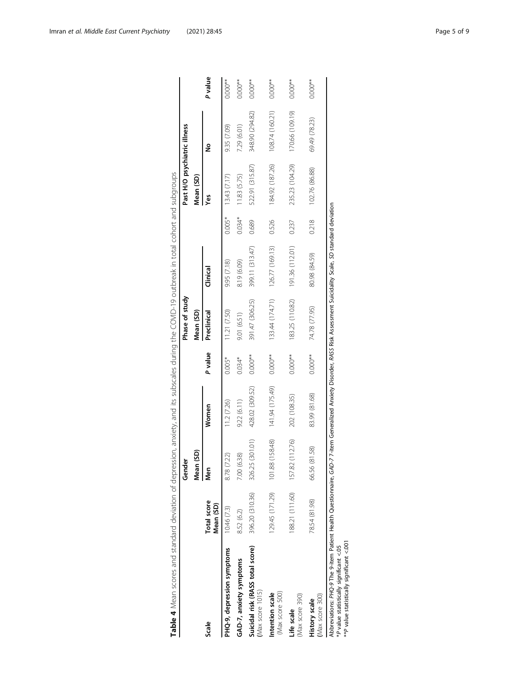<span id="page-4-0"></span>

|                                                                                                                                                                                                                                                                 |                          | Gender             |                 |           | Phase of study  |                 |          | Past H/O psychiatric illness |                 |            |
|-----------------------------------------------------------------------------------------------------------------------------------------------------------------------------------------------------------------------------------------------------------------|--------------------------|--------------------|-----------------|-----------|-----------------|-----------------|----------|------------------------------|-----------------|------------|
|                                                                                                                                                                                                                                                                 |                          | Mean (SD)          |                 |           | Mean (SD)       |                 |          | Mean (SD)                    |                 |            |
| Scale                                                                                                                                                                                                                                                           | Total score<br>Mean (SD) | <b>Sen</b>         | Women           | P value   | Preclinical     | <b>Clinical</b> |          | yes                          | ≗               | P value    |
| PHQ-9, depression symptoms                                                                                                                                                                                                                                      | 10.46 (7.3)              | ?2)<br>8.78 (7     | 11.2 (7.26)     | $0.005*$  | 11.21 (7.50)    | 9.95 (7.18)     | $0.005*$ | 13.43(7.17)                  | 9.35 (7.09)     | $0.000**$  |
| GAD-7, anxiety symptoms                                                                                                                                                                                                                                         | 8.52 (6.2)               | 7.00 (6.38)        | 9.22(6.11)      | $0.034*$  | 9.01 (6.51)     | 8.19 (6.09)     | 0.034*   | 11.83 (5.75)                 | 7.29 (6.01)     | $0.000**$  |
| Suicidal risk (RASS total score)<br>$Max$ score $1015$ )                                                                                                                                                                                                        | 396.20 (310.36)          | 326.25 (301.01)    | 428.02 (309.52) | $0.000**$ | 391.47 (306.25) | 399.11 (313.47) | 0.689    | 522.91 (315.87)              | 348.90 (294.82) | $0.000***$ |
| (Max score 500)<br>Intention scale                                                                                                                                                                                                                              | 129.45 (171.29)          | (158.48)<br>101.88 | 141.94 (175.49) | $0.000**$ | 133.44 (174.71) | 126.77 (169.13) | 0.526    | 184.92 (187.26)              | 108.74 (160.21) | $0.000**$  |
| (Max score 390)<br>Life scale                                                                                                                                                                                                                                   | 188.21 (111.60)          | (112.76)<br>157.82 | 202 (108.35)    | $0.000**$ | 183.25 (110.82) | 191.36 (112.01) | 0.237    | 235.23 (104.29)              | 170.66 (109.19) | $0.000***$ |
| (Max score 300)<br>History scale                                                                                                                                                                                                                                | 78.54 (81.98)            | (81.58)<br>66.56   | 83.99 (81.68)   | $0.000**$ | 74.78 (77.95)   | 80.98 (84.59)   | 0.218    | 102.76 (86.88)               | 69.49 (78.23)   | $0.000**$  |
| Abbreviations: PHQ-9 The 9-item Patient Health Questionnaire, GAD-7 7-item Generalized Anxiety Disorder, RASS Risk Assessment Suicidality Scale, SD standard deviation<br>*** P value statistically significant <.001<br>P value statistically significant <.05 |                          |                    |                 |           |                 |                 |          |                              |                 |            |

Table 4 Mean scores and standard deviation of depression, anxiety, and its subscales during the COVID-19 outbreak in total cohort and subgroups Table 4 Mean scores and standard deviation of depression, anxiety, and its subscales during the COVID-19 outbreak in total cohort and subgroups  $\left| \cdot \right|$ نے ا ہ |

 $\vert$  :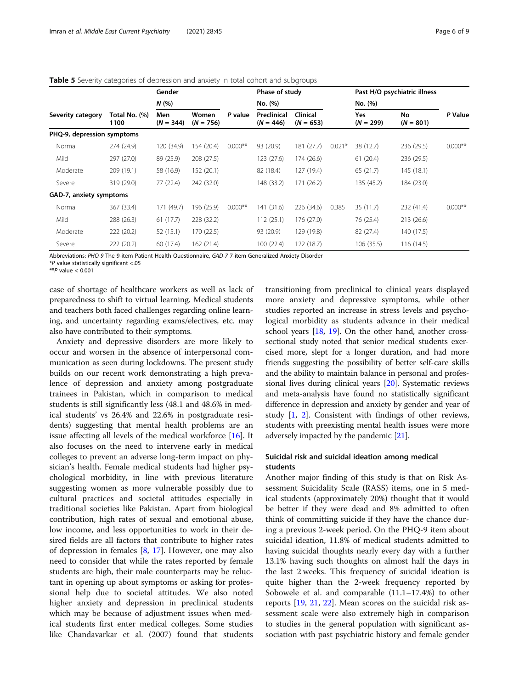<span id="page-5-0"></span>

|  |  | <b>Table 5</b> Severity categories of depression and anxiety in total cohort and subgroups |
|--|--|--------------------------------------------------------------------------------------------|
|  |  |                                                                                            |

|                            |                       | Gender             |                      |           | Phase of study             |                                |          |                           | Past H/O psychiatric illness |           |
|----------------------------|-----------------------|--------------------|----------------------|-----------|----------------------------|--------------------------------|----------|---------------------------|------------------------------|-----------|
|                            |                       | N(%                |                      |           | No. (%)                    |                                |          | No. (%)                   |                              |           |
| Severity category          | Total No. (%)<br>1100 | Men<br>$(N = 344)$ | Women<br>$(N = 756)$ | P value   | Preclinical<br>$(N = 446)$ | <b>Clinical</b><br>$(N = 653)$ |          | <b>Yes</b><br>$(N = 299)$ | No<br>$(N = 801)$            | P Value   |
| PHQ-9, depression symptoms |                       |                    |                      |           |                            |                                |          |                           |                              |           |
| Normal                     | 274 (24.9)            | 120 (34.9)         | 154 (20.4)           | $0.000**$ | 93 (20.9)                  | 181 (27.7)                     | $0.021*$ | 38 (12.7)                 | 236 (29.5)                   | $0.000**$ |
| Mild                       | 297 (27.0)            | 89 (25.9)          | 208 (27.5)           |           | 123 (27.6)                 | 174 (26.6)                     |          | 61(20.4)                  | 236 (29.5)                   |           |
| Moderate                   | 209 (19.1)            | 58 (16.9)          | 152 (20.1)           |           | 82 (18.4)                  | 127 (19.4)                     |          | 65(21.7)                  | 145(18.1)                    |           |
| Severe                     | 319 (29.0)            | 77(22.4)           | 242 (32.0)           |           | 148 (33.2)                 | 171(26.2)                      |          | 135 (45.2)                | 184 (23.0)                   |           |
| GAD-7, anxiety symptoms    |                       |                    |                      |           |                            |                                |          |                           |                              |           |
| Normal                     | 367 (33.4)            | 171 (49.7)         | 196 (25.9)           | $0.000**$ | 141 (31.6)                 | 226 (34.6)                     | 0.385    | 35 (11.7)                 | 232 (41.4)                   | $0.000**$ |
| Mild                       | 288 (26.3)            | 61(17.7)           | 228 (32.2)           |           | 112(25.1)                  | 176 (27.0)                     |          | 76 (25.4)                 | 213 (26.6)                   |           |
| Moderate                   | 222 (20.2)            | 52(15.1)           | 170 (22.5)           |           | 93 (20.9)                  | 129 (19.8)                     |          | 82 (27.4)                 | 140 (17.5)                   |           |
| Severe                     | 222 (20.2)            | 60 (17.4)          | 162 (21.4)           |           | 100(22.4)                  | 122 (18.7)                     |          | 106 (35.5)                | 116(14.5)                    |           |

Abbreviations: PHQ-9 The 9-item Patient Health Questionnaire, GAD-7 7-item Generalized Anxiety Disorder

\*P value statistically significant <.05

\*\**P* value  $< 0.001$ 

case of shortage of healthcare workers as well as lack of preparedness to shift to virtual learning. Medical students and teachers both faced challenges regarding online learning, and uncertainty regarding exams/electives, etc. may also have contributed to their symptoms.

Anxiety and depressive disorders are more likely to occur and worsen in the absence of interpersonal communication as seen during lockdowns. The present study builds on our recent work demonstrating a high prevalence of depression and anxiety among postgraduate trainees in Pakistan, which in comparison to medical students is still significantly less (48.1 and 48.6% in medical students' vs 26.4% and 22.6% in postgraduate residents) suggesting that mental health problems are an issue affecting all levels of the medical workforce [[16\]](#page-7-0). It also focuses on the need to intervene early in medical colleges to prevent an adverse long-term impact on physician's health. Female medical students had higher psychological morbidity, in line with previous literature suggesting women as more vulnerable possibly due to cultural practices and societal attitudes especially in traditional societies like Pakistan. Apart from biological contribution, high rates of sexual and emotional abuse, low income, and less opportunities to work in their desired fields are all factors that contribute to higher rates of depression in females  $[8, 17]$  $[8, 17]$  $[8, 17]$ . However, one may also need to consider that while the rates reported by female students are high, their male counterparts may be reluctant in opening up about symptoms or asking for professional help due to societal attitudes. We also noted higher anxiety and depression in preclinical students which may be because of adjustment issues when medical students first enter medical colleges. Some studies like Chandavarkar et al. (2007) found that students

transitioning from preclinical to clinical years displayed more anxiety and depressive symptoms, while other studies reported an increase in stress levels and psychological morbidity as students advance in their medical school years [\[18](#page-7-0), [19\]](#page-7-0). On the other hand, another crosssectional study noted that senior medical students exercised more, slept for a longer duration, and had more friends suggesting the possibility of better self-care skills and the ability to maintain balance in personal and professional lives during clinical years [\[20](#page-7-0)]. Systematic reviews and meta-analysis have found no statistically significant difference in depression and anxiety by gender and year of study [\[1](#page-7-0), [2\]](#page-7-0). Consistent with findings of other reviews, students with preexisting mental health issues were more adversely impacted by the pandemic [\[21\]](#page-8-0).

# Suicidal risk and suicidal ideation among medical students

Another major finding of this study is that on Risk Assessment Suicidality Scale (RASS) items, one in 5 medical students (approximately 20%) thought that it would be better if they were dead and 8% admitted to often think of committing suicide if they have the chance during a previous 2-week period. On the PHQ-9 item about suicidal ideation, 11.8% of medical students admitted to having suicidal thoughts nearly every day with a further 13.1% having such thoughts on almost half the days in the last 2 weeks. This frequency of suicidal ideation is quite higher than the 2-week frequency reported by Sobowele et al. and comparable (11.1–17.4%) to other reports [\[19](#page-7-0), [21](#page-8-0), [22\]](#page-8-0). Mean scores on the suicidal risk assessment scale were also extremely high in comparison to studies in the general population with significant association with past psychiatric history and female gender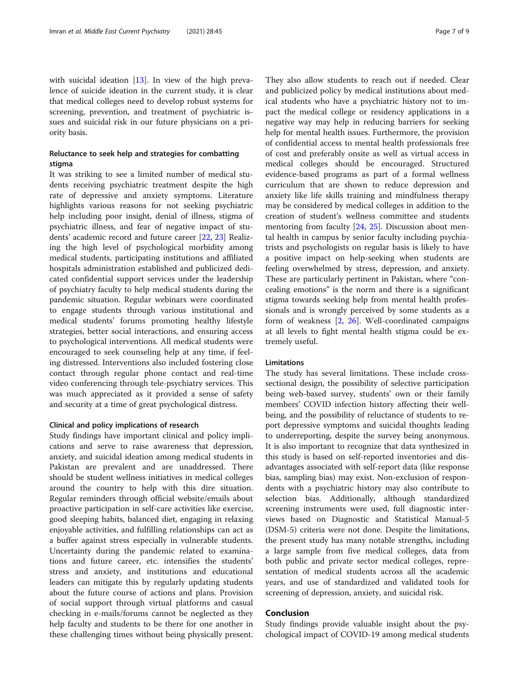with suicidal ideation [[13](#page-7-0)]. In view of the high prevalence of suicide ideation in the current study, it is clear that medical colleges need to develop robust systems for screening, prevention, and treatment of psychiatric issues and suicidal risk in our future physicians on a priority basis.

# Reluctance to seek help and strategies for combatting stigma

It was striking to see a limited number of medical students receiving psychiatric treatment despite the high rate of depressive and anxiety symptoms. Literature highlights various reasons for not seeking psychiatric help including poor insight, denial of illness, stigma of psychiatric illness, and fear of negative impact of students' academic record and future career [[22](#page-8-0), [23](#page-8-0)] Realizing the high level of psychological morbidity among medical students, participating institutions and affiliated hospitals administration established and publicized dedicated confidential support services under the leadership of psychiatry faculty to help medical students during the pandemic situation. Regular webinars were coordinated to engage students through various institutional and medical students' forums promoting healthy lifestyle strategies, better social interactions, and ensuring access to psychological interventions. All medical students were encouraged to seek counseling help at any time, if feeling distressed. Interventions also included fostering close contact through regular phone contact and real-time video conferencing through tele-psychiatry services. This was much appreciated as it provided a sense of safety and security at a time of great psychological distress.

#### Clinical and policy implications of research

Study findings have important clinical and policy implications and serve to raise awareness that depression, anxiety, and suicidal ideation among medical students in Pakistan are prevalent and are unaddressed. There should be student wellness initiatives in medical colleges around the country to help with this dire situation. Regular reminders through official website/emails about proactive participation in self-care activities like exercise, good sleeping habits, balanced diet, engaging in relaxing enjoyable activities, and fulfilling relationships can act as a buffer against stress especially in vulnerable students. Uncertainty during the pandemic related to examinations and future career, etc. intensifies the students' stress and anxiety, and institutions and educational leaders can mitigate this by regularly updating students about the future course of actions and plans. Provision of social support through virtual platforms and casual checking in e-mails/forums cannot be neglected as they help faculty and students to be there for one another in these challenging times without being physically present.

They also allow students to reach out if needed. Clear and publicized policy by medical institutions about medical students who have a psychiatric history not to impact the medical college or residency applications in a negative way may help in reducing barriers for seeking help for mental health issues. Furthermore, the provision of confidential access to mental health professionals free of cost and preferably onsite as well as virtual access in medical colleges should be encouraged. Structured evidence-based programs as part of a formal wellness curriculum that are shown to reduce depression and anxiety like life skills training and mindfulness therapy may be considered by medical colleges in addition to the creation of student's wellness committee and students mentoring from faculty [\[24](#page-8-0), [25\]](#page-8-0). Discussion about mental health in campus by senior faculty including psychiatrists and psychologists on regular basis is likely to have a positive impact on help-seeking when students are feeling overwhelmed by stress, depression, and anxiety. These are particularly pertinent in Pakistan, where "concealing emotions" is the norm and there is a significant stigma towards seeking help from mental health professionals and is wrongly perceived by some students as a form of weakness [[2,](#page-7-0) [26](#page-8-0)]. Well-coordinated campaigns at all levels to fight mental health stigma could be extremely useful.

#### Limitations

The study has several limitations. These include crosssectional design, the possibility of selective participation being web-based survey, students' own or their family members' COVID infection history affecting their wellbeing, and the possibility of reluctance of students to report depressive symptoms and suicidal thoughts leading to underreporting, despite the survey being anonymous. It is also important to recognize that data synthesized in this study is based on self-reported inventories and disadvantages associated with self-report data (like response bias, sampling bias) may exist. Non-exclusion of respondents with a psychiatric history may also contribute to selection bias. Additionally, although standardized screening instruments were used, full diagnostic interviews based on Diagnostic and Statistical Manual-5 (DSM-5) criteria were not done. Despite the limitations, the present study has many notable strengths, including a large sample from five medical colleges, data from both public and private sector medical colleges, representation of medical students across all the academic years, and use of standardized and validated tools for screening of depression, anxiety, and suicidal risk.

# Conclusion

Study findings provide valuable insight about the psychological impact of COVID-19 among medical students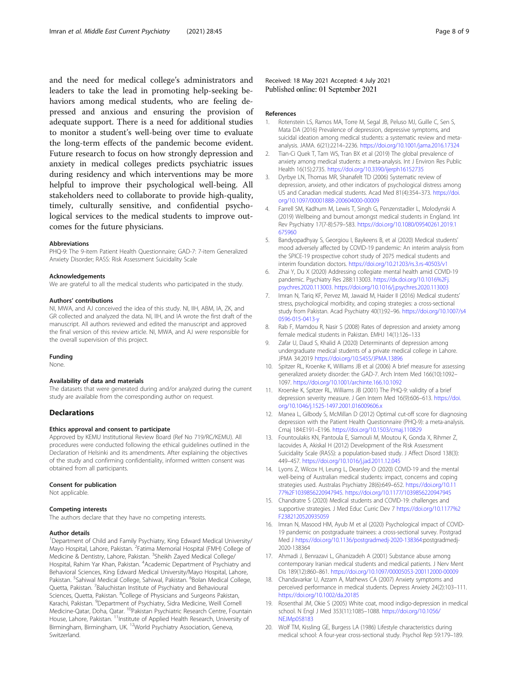<span id="page-7-0"></span>and the need for medical college's administrators and leaders to take the lead in promoting help-seeking behaviors among medical students, who are feeling depressed and anxious and ensuring the provision of adequate support. There is a need for additional studies to monitor a student's well-being over time to evaluate the long-term effects of the pandemic become evident. Future research to focus on how strongly depression and anxiety in medical colleges predicts psychiatric issues during residency and which interventions may be more helpful to improve their psychological well-being. All stakeholders need to collaborate to provide high-quality, timely, culturally sensitive, and confidential psychological services to the medical students to improve outcomes for the future physicians.

#### Abbreviations

PHQ-9: The 9-item Patient Health Questionnaire; GAD-7: 7-item Generalized Anxiety Disorder; RASS: Risk Assessment Suicidality Scale

#### Acknowledgements

We are grateful to all the medical students who participated in the study.

#### Authors' contributions

NI, MWA, and AJ conceived the idea of this study. NI, IIH, ABM, IA, ZK, and GR collected and analyzed the data. NI, IIH, and IA wrote the first draft of the manuscript. All authors reviewed and edited the manuscript and approved the final version of this review article. NI, MWA, and AJ were responsible for the overall supervision of this project.

#### Funding

None.

#### Availability of data and materials

The datasets that were generated during and/or analyzed during the current study are available from the corresponding author on request.

#### **Declarations**

#### Ethics approval and consent to participate

Approved by KEMU Institutional Review Board (Ref No 719/RC/KEMU). All procedures were conducted following the ethical guidelines outlined in the Declaration of Helsinki and its amendments. After explaining the objectives of the study and confirming confidentiality, informed written consent was obtained from all participants.

#### Consent for publication

Not applicable.

#### Competing interests

The authors declare that they have no competing interests.

#### Author details

<sup>1</sup>Department of Child and Family Psychiatry, King Edward Medical University/ Mayo Hospital, Lahore, Pakistan. <sup>2</sup> Fatima Memorial Hospital (FMH) College of Medicine & Dentistry, Lahore, Pakistan. <sup>3</sup>Sheikh Zayed Medical College/ Hospital, Rahim Yar Khan, Pakistan. <sup>4</sup> Academic Department of Psychiatry and Behavioral Sciences, King Edward Medical University/Mayo Hospital, Lahore, Pakistan. <sup>5</sup>Sahiwal Medical College, Sahiwal, Pakistan. <sup>6</sup>Bolan Medical College, Quetta, Pakistan. <sup>7</sup>Baluchistan Institute of Psychiatry and Behavioural Sciences, Quetta, Pakistan. <sup>8</sup>College of Physicians and Surgeons Pakistan, Karachi, Pakistan. <sup>9</sup>Department of Psychiatry, Sidra Medicine, Weill Cornell Medicine-Qatar, Doha, Qatar. <sup>10</sup>Pakistan Psychiatric Research Centre, Fountain House, Lahore, Pakistan. 11Institute of Applied Health Research, University of Birmingham, Birmingham, UK. 12World Psychiatry Association, Geneva, Switzerland.

#### References

- 1. Rotenstein LS, Ramos MA, Torre M, Segal JB, Peluso MJ, Guille C, Sen S, Mata DA (2016) Prevalence of depression, depressive symptoms, and suicidal ideation among medical students: a systematic review and metaanalysis. JAMA. 6(21):2214–2236. <https://doi.org/10.1001/jama.2016.17324>
- 2. Tian-Ci Quek T, Tam WS, Tran BX et al (2019) The global prevalence of anxiety among medical students: a meta-analysis. Int J Environ Res Public Health 16(15):2735. <https://doi.org/10.3390/ijerph16152735>
- 3. Dyrbye LN, Thomas MR, Shanafelt TD (2006) Systematic review of depression, anxiety, and other indicators of psychological distress among US and Canadian medical students. Acad Med 81(4):354–373. [https://doi.](https://doi.org/10.1097/00001888-200604000-00009) [org/10.1097/00001888-200604000-00009](https://doi.org/10.1097/00001888-200604000-00009)
- 4. Farrell SM, Kadhum M, Lewis T, Singh G, Penzenstadler L, Molodynski A (2019) Wellbeing and burnout amongst medical students in England. Int Rev Psychiatry 17(7-8):579–583. [https://doi.org/10.1080/09540261.2019.1](https://doi.org/10.1080/09540261.2019.1675960) [675960](https://doi.org/10.1080/09540261.2019.1675960)
- 5. Bandyopadhyay S, Georgiou I, Baykeens B, et al (2020) Medical students' mood adversely affected by COVID-19 pandemic: An interim analysis from the SPICE-19 prospective cohort study of 2075 medical students and interim foundation doctors. <https://doi.org/10.21203/rs.3.rs-40503/v1>
- 6. Zhai Y, Du X (2020) Addressing collegiate mental health amid COVID-19 pandemic. Psychiatry Res 288:113003. [https://dx.doi.org/10.1016%2Fj.](https://dx.doi.org/10.1016/j.psychres.2020.113003) [psychres.2020.113003.](https://dx.doi.org/10.1016/j.psychres.2020.113003) <https://doi.org/10.1016/j.psychres.2020.113003>
- 7. Imran N, Tariq KF, Pervez MI, Jawaid M, Haider II (2016) Medical students' stress, psychological morbidity, and coping strategies: a cross-sectional study from Pakistan. Acad Psychiatry 40(1):92–96. [https://doi.org/10.1007/s4](https://doi.org/10.1007/s40596-015-0413-y) [0596-015-0413-y](https://doi.org/10.1007/s40596-015-0413-y)
- 8. Rab F, Mamdou R, Nasir S (2008) Rates of depression and anxiety among female medical students in Pakistan. EMHJ 14(1):126–133
- 9. Zafar U, Daud S, Khalid A (2020) Determinants of depression among undergraduate medical students of a private medical college in Lahore. JPMA 34:2019 <https://doi.org/10.5455/JPMA.13896>
- 10. Spitzer RL, Kroenke K, Williams JB et al (2006) A brief measure for assessing generalized anxiety disorder: the GAD-7. Arch Intern Med 166(10):1092– 1097. <https://doi.org/10.1001/archinte.166.10.1092>
- 11. Kroenke K, Spitzer RL, Williams JB (2001) The PHQ-9: validity of a brief depression severity measure. J Gen Intern Med 16(9):606–613. [https://doi.](https://doi.org/10.1046/j.1525-1497.2001.016009606.x) [org/10.1046/j.1525-1497.2001.016009606.x](https://doi.org/10.1046/j.1525-1497.2001.016009606.x)
- 12. Manea L, Gilbody S, McMillan D (2012) Optimal cut-off score for diagnosing depression with the Patient Health Questionnaire (PHQ-9): a meta-analysis. Cmaj 184:E191–E196. <https://doi.org/10.1503/cmaj.110829>
- 13. Fountoulakis KN, Pantoula E, Siamouli M, Moutou K, Gonda X, Rihmer Z, Iacovides A, Akiskal H (2012) Development of the Risk Assessment Suicidality Scale (RASS): a population-based study. J Affect Disord 138(3): 449–457. <https://doi.org/10.1016/j.jad.2011.12.045>
- 14. Lyons Z, Wilcox H, Leung L, Dearsley O (2020) COVID-19 and the mental well-being of Australian medical students: impact, concerns and coping strategies used. Australas Psychiatry 28(6):649–652. [https://doi.org/10.11](https://doi.org/10.1177/1039856220947945) [77%2F1039856220947945.](https://doi.org/10.1177/1039856220947945) <https://doi.org/10.1177/1039856220947945>
- 15. Chandratre S (2020) Medical students and COVID-19: challenges and supportive strategies. J Med Educ Curric Dev 7 [https://doi.org/10.1177%2](https://doi.org/10.1177/2382120520935059) [F2382120520935059](https://doi.org/10.1177/2382120520935059)
- 16. Imran N, Masood HM, Ayub M et al (2020) Psychological impact of COVID-19 pandemic on postgraduate trainees: a cross-sectional survey. Postgrad Med J [https://doi.org/10.1136/postgradmedj-2020-138364:](https://doi.org/10.1136/postgradmedj-2020-138364)postgradmedj-2020-138364
- 17. Ahmadi J, Benrazavi L, Ghanizadeh A (2001) Substance abuse among contemporary Iranian medical students and medical patients. J Nerv Ment Dis 189(12):860–861. <https://doi.org/10.1097/00005053-200112000-00009>
- 18. Chandavarkar U, Azzam A, Mathews CA (2007) Anxiety symptoms and perceived performance in medical students. Depress Anxiety 24(2):103–111. <https://doi.org/10.1002/da.20185>
- 19. Rosenthal JM, Okie S (2005) White coat, mood indigo-depression in medical school. N Engl J Med 353(11):1085–1088. [https://doi.org/10.1056/](https://doi.org/10.1056/NEJMp058183) [NEJMp058183](https://doi.org/10.1056/NEJMp058183)
- 20. Wolf TM, Kissling GE, Burgess LA (1986) Lifestyle characteristics during medical school: A four-year cross-sectional study. Psychol Rep 59:179–189.